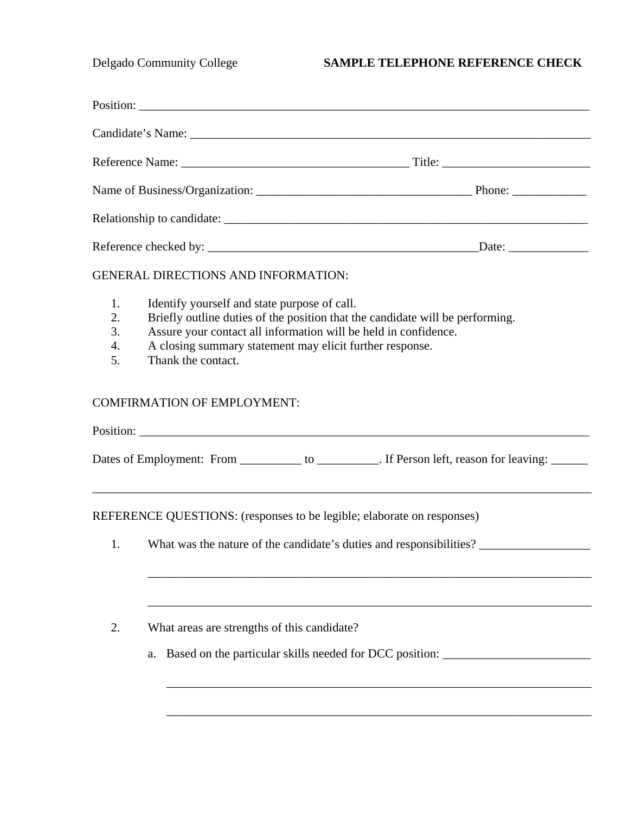## Delgado Community College **SAMPLE TELEPHONE REFERENCE CHECK**

|                                          | <b>GENERAL DIRECTIONS AND INFORMATION:</b>                                                                                                                                                                                                                                         |                                                                                               |  |
|------------------------------------------|------------------------------------------------------------------------------------------------------------------------------------------------------------------------------------------------------------------------------------------------------------------------------------|-----------------------------------------------------------------------------------------------|--|
| 1.<br>2.<br>3.<br>$\overline{4}$ .<br>5. | Identify yourself and state purpose of call.<br>Briefly outline duties of the position that the candidate will be performing.<br>Assure your contact all information will be held in confidence.<br>A closing summary statement may elicit further response.<br>Thank the contact. |                                                                                               |  |
|                                          | <b>COMFIRMATION OF EMPLOYMENT:</b>                                                                                                                                                                                                                                                 |                                                                                               |  |
|                                          |                                                                                                                                                                                                                                                                                    |                                                                                               |  |
|                                          |                                                                                                                                                                                                                                                                                    | Dates of Employment: From __________ to _________. If Person left, reason for leaving: ______ |  |
|                                          | REFERENCE QUESTIONS: (responses to be legible; elaborate on responses)                                                                                                                                                                                                             |                                                                                               |  |
| 1.                                       |                                                                                                                                                                                                                                                                                    | What was the nature of the candidate's duties and responsibilities?                           |  |
| 2.                                       | What areas are strengths of this candidate?                                                                                                                                                                                                                                        |                                                                                               |  |
|                                          |                                                                                                                                                                                                                                                                                    |                                                                                               |  |